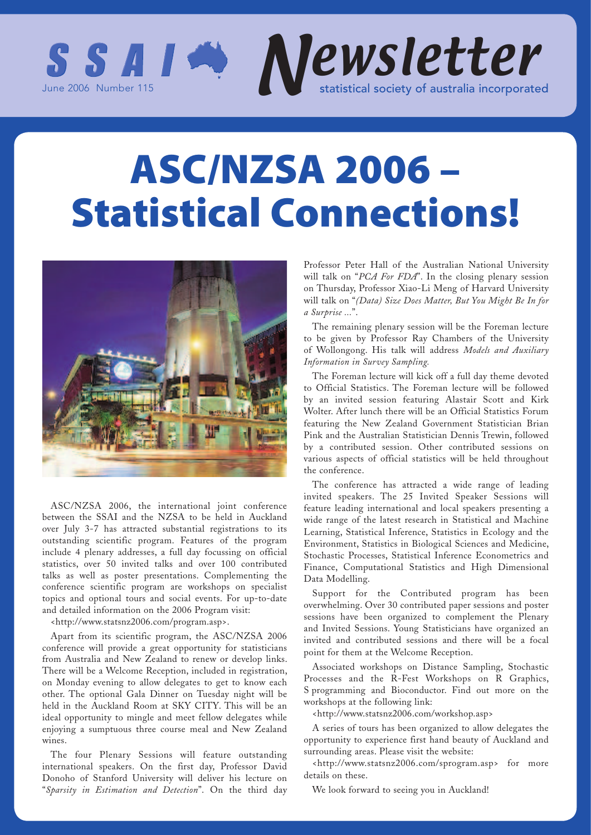

# **ASC/NZSA 2006 – Statistical Connections!**



ASC/NZSA 2006, the international joint conference between the SSAI and the NZSA to be held in Auckland over July 3-7 has attracted substantial registrations to its outstanding scientific program. Features of the program include 4 plenary addresses, a full day focussing on official statistics, over 50 invited talks and over 100 contributed talks as well as poster presentations. Complementing the conference scientific program are workshops on specialist topics and optional tours and social events. For up-to-date and detailed information on the 2006 Program visit:

<http://www.statsnz2006.com/program.asp>.

Apart from its scientific program, the ASC/NZSA 2006 conference will provide a great opportunity for statisticians from Australia and New Zealand to renew or develop links. There will be a Welcome Reception, included in registration, on Monday evening to allow delegates to get to know each other. The optional Gala Dinner on Tuesday night will be held in the Auckland Room at SKY CITY. This will be an ideal opportunity to mingle and meet fellow delegates while enjoying a sumptuous three course meal and New Zealand wines.

The four Plenary Sessions will feature outstanding international speakers. On the first day, Professor David Donoho of Stanford University will deliver his lecture on "*Sparsity in Estimation and Detection*". On the third day

Professor Peter Hall of the Australian National University will talk on "*PCA For FDA*". In the closing plenary session on Thursday, Professor Xiao-Li Meng of Harvard University will talk on "*(Data) Size Does Matter, But You Might Be In for a Surprise ...*".

The remaining plenary session will be the Foreman lecture to be given by Professor Ray Chambers of the University of Wollongong. His talk will address *Models and Auxiliary Information in Survey Sampling.*

The Foreman lecture will kick off a full day theme devoted to Official Statistics. The Foreman lecture will be followed by an invited session featuring Alastair Scott and Kirk Wolter. After lunch there will be an Official Statistics Forum featuring the New Zealand Government Statistician Brian Pink and the Australian Statistician Dennis Trewin, followed by a contributed session. Other contributed sessions on various aspects of official statistics will be held throughout the conference.

The conference has attracted a wide range of leading invited speakers. The 25 Invited Speaker Sessions will feature leading international and local speakers presenting a wide range of the latest research in Statistical and Machine Learning, Statistical Inference, Statistics in Ecology and the Environment, Statistics in Biological Sciences and Medicine, Stochastic Processes, Statistical Inference Econometrics and Finance, Computational Statistics and High Dimensional Data Modelling.

Support for the Contributed program has been overwhelming. Over 30 contributed paper sessions and poster sessions have been organized to complement the Plenary and Invited Sessions. Young Statisticians have organized an invited and contributed sessions and there will be a focal point for them at the Welcome Reception.

Associated workshops on Distance Sampling, Stochastic Processes and the R-Fest Workshops on R Graphics, S programming and Bioconductor. Find out more on the workshops at the following link:

<http://www.statsnz2006.com/workshop.asp>

A series of tours has been organized to allow delegates the opportunity to experience first hand beauty of Auckland and surrounding areas. Please visit the website:

<http://www.statsnz2006.com/sprogram.asp> for more details on these.

We look forward to seeing you in Auckland!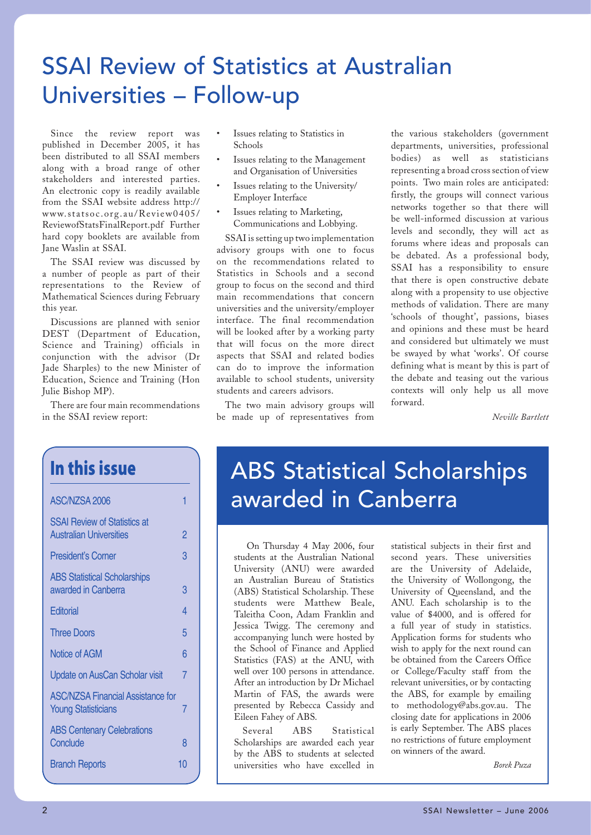# SSAI Review of Statistics at Australian Universities – Follow-up

Since the review report was published in December 2005, it has been distributed to all SSAI members along with a broad range of other stakeholders and interested parties. An electronic copy is readily available from the SSAI website address http:// www.statsoc.org.au/Review0405/ ReviewofStatsFinalReport.pdf Further hard copy booklets are available from Jane Waslin at SSAI.

The SSAI review was discussed by a number of people as part of their representations to the Review of Mathematical Sciences during February this year.

Discussions are planned with senior DEST (Department of Education, Science and Training) officials in conjunction with the advisor (Dr Jade Sharples) to the new Minister of Education, Science and Training (Hon Julie Bishop MP).

There are four main recommendations in the SSAI review report:

**In this issue**

| ASC/NZSA 2006                                                          |    |
|------------------------------------------------------------------------|----|
| <b>SSAI Review of Statistics at</b><br><b>Australian Universities</b>  | 2  |
| <b>President's Corner</b>                                              | 3  |
| <b>ABS Statistical Scholarships</b><br>awarded in Canberra             | 3  |
| Editorial                                                              | 4  |
| <b>Three Doors</b>                                                     | 5  |
| Notice of AGM                                                          | 6  |
| Update on AusCan Scholar visit                                         | 7  |
| <b>ASC/NZSA Financial Assistance for</b><br><b>Young Statisticians</b> | 7  |
| <b>ABS Centenary Celebrations</b><br>Conclude                          | 8  |
| <b>Branch Reports</b>                                                  | 10 |

- Issues relating to Statistics in Schools
- Issues relating to the Management and Organisation of Universities
- Issues relating to the University/ Employer Interface
- Issues relating to Marketing, Communications and Lobbying.

SSAI is setting up two implementation advisory groups with one to focus on the recommendations related to Statistics in Schools and a second group to focus on the second and third main recommendations that concern universities and the university/employer interface. The final recommendation will be looked after by a working party that will focus on the more direct aspects that SSAI and related bodies can do to improve the information available to school students, university students and careers advisors.

The two main advisory groups will be made up of representatives from

the various stakeholders (government departments, universities, professional bodies) as well as statisticians representing a broad cross section of view points. Two main roles are anticipated: firstly, the groups will connect various networks together so that there will be well-informed discussion at various levels and secondly, they will act as forums where ideas and proposals can be debated. As a professional body, SSAI has a responsibility to ensure that there is open constructive debate along with a propensity to use objective methods of validation. There are many 'schools of thought', passions, biases and opinions and these must be heard and considered but ultimately we must be swayed by what 'works'. Of course defining what is meant by this is part of the debate and teasing out the various contexts will only help us all move forward.

*Neville Bartlett*

# ABS Statistical Scholarships awarded in Canberra

 On Thursday 4 May 2006, four students at the Australian National University (ANU) were awarded an Australian Bureau of Statistics (ABS) Statistical Scholarship. These students were Matthew Beale, Taleitha Coon, Adam Franklin and Jessica Twigg. The ceremony and accompanying lunch were hosted by the School of Finance and Applied Statistics (FAS) at the ANU, with well over 100 persons in attendance. After an introduction by Dr Michael Martin of FAS, the awards were presented by Rebecca Cassidy and Eileen Fahey of ABS.

Several ABS Statistical Scholarships are awarded each year by the ABS to students at selected universities who have excelled in

statistical subjects in their first and second years. These universities are the University of Adelaide, the University of Wollongong, the University of Queensland, and the ANU. Each scholarship is to the value of \$4000, and is offered for a full year of study in statistics. Application forms for students who wish to apply for the next round can be obtained from the Careers Office or College/Faculty staff from the relevant universities, or by contacting the ABS, for example by emailing to methodology@abs.gov.au. The closing date for applications in 2006 is early September. The ABS places no restrictions of future employment on winners of the award.

*Borek Puza*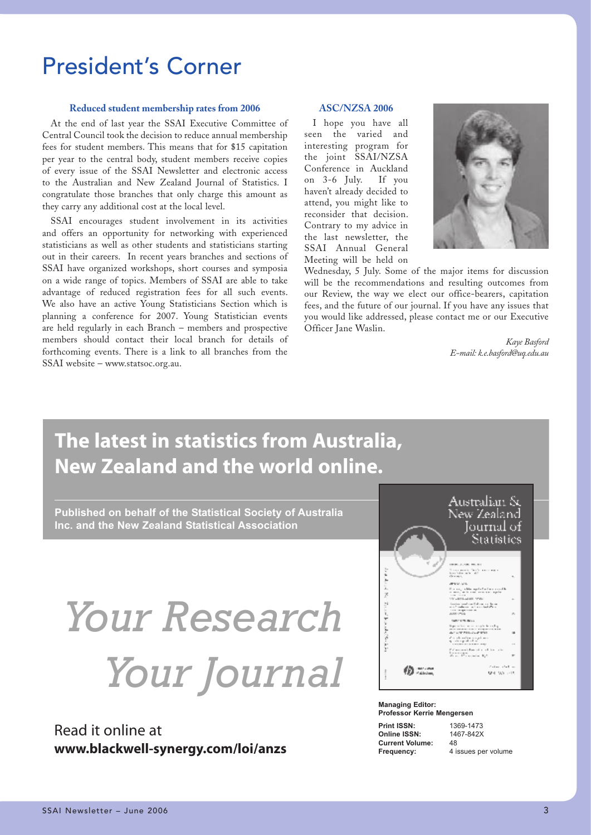# President's Corner

### **Reduced student membership rates from 2006**

At the end of last year the SSAI Executive Committee of Central Council took the decision to reduce annual membership fees for student members. This means that for \$15 capitation per year to the central body, student members receive copies of every issue of the SSAI Newsletter and electronic access to the Australian and New Zealand Journal of Statistics. I congratulate those branches that only charge this amount as they carry any additional cost at the local level.

SSAI encourages student involvement in its activities and offers an opportunity for networking with experienced statisticians as well as other students and statisticians starting out in their careers. In recent years branches and sections of SSAI have organized workshops, short courses and symposia on a wide range of topics. Members of SSAI are able to take advantage of reduced registration fees for all such events. We also have an active Young Statisticians Section which is planning a conference for 2007. Young Statistician events are held regularly in each Branch – members and prospective members should contact their local branch for details of forthcoming events. There is a link to all branches from the SSAI website – www.statsoc.org.au.

### **ASC/NZSA 2006**

I hope you have all seen the varied and interesting program for the joint SSAI/NZSA Conference in Auckland on 3-6 July. If you haven't already decided to attend, you might like to reconsider that decision. Contrary to my advice in the last newsletter, the SSAI Annual General Meeting will be held on



Wednesday, 5 July. Some of the major items for discussion will be the recommendations and resulting outcomes from our Review, the way we elect our office-bearers, capitation fees, and the future of our journal. If you have any issues that you would like addressed, please contact me or our Executive Officer Jane Waslin.

> *Kaye Basford E-mail: k.e.basford@uq.edu.au*

# **The latest in statistics from Australia, New Zealand and the world online.**

**Published on behalf of the Statistical Society of Australia Inc. and the New Zealand Statistical Association**

# *Your Research Your Journal*

Read it online at **www.blackwell-synergy.com/loi/anzs**



# **Managing Editor: Professor Kerrie Mengersen Print ISSN:** 1369-1473<br> **Online ISSN:** 1467-842X

**Online ISSN:** 146<br>Current Volume: 48 **Current Volume:** 

**Frequency:** 4 issues per volume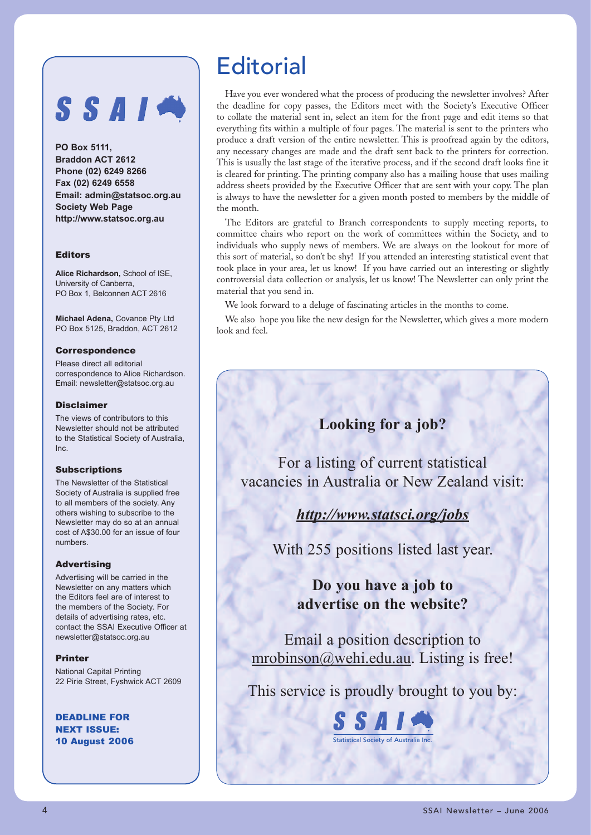# SSAIM

**PO Box 5111, Braddon ACT 2612 Phone (02) 6249 8266 Fax (02) 6249 6558 Email: admin@statsoc.org.au Society Web Page http://www.statsoc.org.au**

## Editors

**Alice Richardson,** School of ISE, University of Canberra, PO Box 1, Belconnen ACT 2616

**Michael Adena,** Covance Pty Ltd PO Box 5125, Braddon, ACT 2612

### Correspondence

Please direct all editorial correspondence to Alice Richardson. Email: newsletter@statsoc.org.au

### Disclaimer

The views of contributors to this Newsletter should not be attributed to the Statistical Society of Australia, Inc.

### **Subscriptions**

The Newsletter of the Statistical Society of Australia is supplied free to all members of the society. Any others wishing to subscribe to the Newsletter may do so at an annual cost of A\$30.00 for an issue of four numbers.

### Advertising

Advertising will be carried in the Newsletter on any matters which the Editors feel are of interest to the members of the Society. For details of advertising rates, etc. contact the SSAI Executive Officer at newsletter@statsoc.org.au

### Printer

National Capital Printing 22 Pirie Street, Fyshwick ACT 2609

DEADLINE FOR NEXT ISSUE: 10 August 2006

# **Editorial**

Have you ever wondered what the process of producing the newsletter involves? After the deadline for copy passes, the Editors meet with the Society's Executive Officer to collate the material sent in, select an item for the front page and edit items so that everything fits within a multiple of four pages. The material is sent to the printers who produce a draft version of the entire newsletter. This is proofread again by the editors, any necessary changes are made and the draft sent back to the printers for correction. This is usually the last stage of the iterative process, and if the second draft looks fine it is cleared for printing. The printing company also has a mailing house that uses mailing address sheets provided by the Executive Officer that are sent with your copy. The plan is always to have the newsletter for a given month posted to members by the middle of the month.

The Editors are grateful to Branch correspondents to supply meeting reports, to committee chairs who report on the work of committees within the Society, and to individuals who supply news of members. We are always on the lookout for more of this sort of material, so don't be shy! If you attended an interesting statistical event that took place in your area, let us know! If you have carried out an interesting or slightly controversial data collection or analysis, let us know! The Newsletter can only print the material that you send in.

We look forward to a deluge of fascinating articles in the months to come.

We also hope you like the new design for the Newsletter, which gives a more modern look and feel.

# **Looking for a job?**

For a listing of current statistical vacancies in Australia or New Zealand visit:

# *http://www.statsci.org/jobs*

With 255 positions listed last year.

# **Do you have a job to advertise on the website?**

Email a position description to mrobinson@wehi.edu.au. Listing is free!

This service is proudly brought to you by:

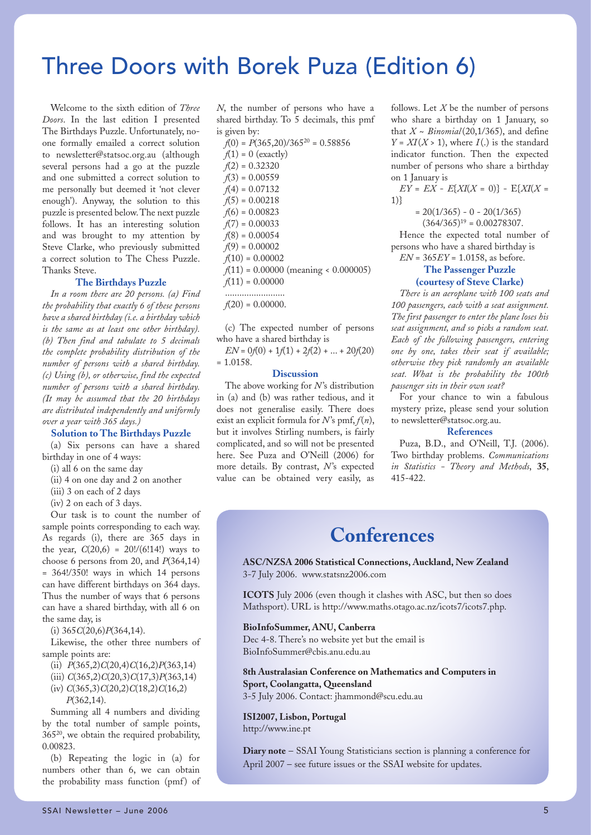# Three Doors with Borek Puza (Edition 6)

Welcome to the sixth edition of *Three Doors*. In the last edition I presented The Birthdays Puzzle. Unfortunately, noone formally emailed a correct solution to newsletter@statsoc.org.au (although several persons had a go at the puzzle and one submitted a correct solution to me personally but deemed it 'not clever enough'). Anyway, the solution to this puzzle is presented below. The next puzzle follows. It has an interesting solution and was brought to my attention by Steve Clarke, who previously submitted a correct solution to The Chess Puzzle. Thanks Steve.

### **The Birthdays Puzzle**

*In a room there are 20 persons. (a) Find the probability that exactly 6 of these persons have a shared birthday (i.e. a birthday which is the same as at least one other birthday). (b) Then find and tabulate to 5 decimals the complete probability distribution of the number of persons with a shared birthday. (c) Using (b), or otherwise, find the expected number of persons with a shared birthday. (It may be assumed that the 20 birthdays are distributed independently and uniformly over a year with 365 days.)*

#### **Solution to The Birthdays Puzzle**

(a) Six persons can have a shared birthday in one of 4 ways:

(i) all 6 on the same day

(ii) 4 on one day and 2 on another

(iii) 3 on each of 2 days

(iv) 2 on each of 3 days.

Our task is to count the number of sample points corresponding to each way. As regards (i), there are 365 days in the year,  $C(20,6) = 20!/(6!14!)$  ways to choose 6 persons from 20, and *P*(364,14) = 364!/350! ways in which 14 persons can have different birthdays on 364 days. Thus the number of ways that 6 persons can have a shared birthday, with all 6 on the same day, is

(i) 365*C*(20,6)*P*(364,14).

Likewise, the other three numbers of sample points are:

(ii) *P*(365,2)*C*(20,4)*C*(16,2)*P*(363,14)

(iii) *C*(365,2)*C*(20,3)*C*(17,3)*P*(363,14)

(iv) *C*(365,3)*C*(20,2)*C*(18,2)*C*(16,2)

*P*(362,14).

Summing all 4 numbers and dividing by the total number of sample points, 36520, we obtain the required probability, 0.00823.

(b) Repeating the logic in (a) for numbers other than 6, we can obtain the probability mass function (pmf) of

*N*, the number of persons who have a shared birthday. To 5 decimals, this pmf is given by:

| $f(0) = P(365,20)/365^{20} = 0.58856$  |
|----------------------------------------|
| $f(1) = 0$ (exactly)                   |
| $f(2) = 0.32320$                       |
| $f(3) = 0.00559$                       |
| $f(4) = 0.07132$                       |
| $f(5) = 0.00218$                       |
| $f(6) = 0.00823$                       |
| $f(7) = 0.00033$                       |
| $f(8) = 0.00054$                       |
| $f(9) = 0.00002$                       |
| $f(10) = 0.00002$                      |
| $f(11) = 0.00000$ (meaning < 0.000005) |
| $f(11) = 0.00000$                      |
|                                        |

 $f(20) = 0.00000$ .

(c) The expected number of persons who have a shared birthday is

 $EN = 0f(0) + 1f(1) + 2f(2) + ... + 20f(20)$ = 1.0158.

### **Discussion**

The above working for *N*'s distribution in (a) and (b) was rather tedious, and it does not generalise easily. There does exist an explicit formula for  $N$ 's pmf,  $f(n)$ , but it involves Stirling numbers, is fairly complicated, and so will not be presented here. See Puza and O'Neill (2006) for more details. By contrast, N's expected value can be obtained very easily, as

follows. Let *X* be the number of persons who share a birthday on 1 January, so that  $X \sim Binomial(20,1/365)$ , and define  $Y = XI(X > 1)$ , where  $I(.)$  is the standard indicator function. Then the expected number of persons who share a birthday on 1 January is

$$
EY = EX - E[XI(X = 0)] - E[XI(X = 1)]
$$

 $= 20(1/365) - 0 - 20(1/365)$ 

 $(364/365)^{19} = 0.00278307.$ 

Hence the expected total number of persons who have a shared birthday is *EN* = 365*EY* = 1.0158, as before.

# **The Passenger Puzzle (courtesy of Steve Clarke)**

*There is an aeroplane with 100 seats and 100 passengers, each with a seat assignment. The first passenger to enter the plane loses his seat assignment, and so picks a random seat. Each of the following passengers, entering one by one, takes their seat if available; otherwise they pick randomly an available seat. What is the probability the 100th passenger sits in their own seat?*

For your chance to win a fabulous mystery prize, please send your solution to newsletter@statsoc.org.au.

### **References**

Puza, B.D., and O'Neill, T.J. (2006). Two birthday problems. *Communications in Statistics - Theory and Methods*, **35**, 415-422.

# **Conferences**

**ASC/NZSA 2006 Statistical Connections, Auckland, New Zealand** 3-7 July 2006. www.statsnz2006.com

**ICOTS** July 2006 (even though it clashes with ASC, but then so does Mathsport). URL is http://www.maths.otago.ac.nz/icots7/icots7.php.

#### **BioInfoSummer, ANU, Canberra**

Dec 4-8. There's no website yet but the email is BioInfoSummer@cbis.anu.edu.au

**8th Australasian Conference on Mathematics and Computers in Sport, Coolangatta, Queensland**

3-5 July 2006. Contact: jhammond@scu.edu.au

**ISI2007, Lisbon, Portugal** http://www.ine.pt

**Diary note** – SSAI Young Statisticians section is planning a conference for April 2007 – see future issues or the SSAI website for updates.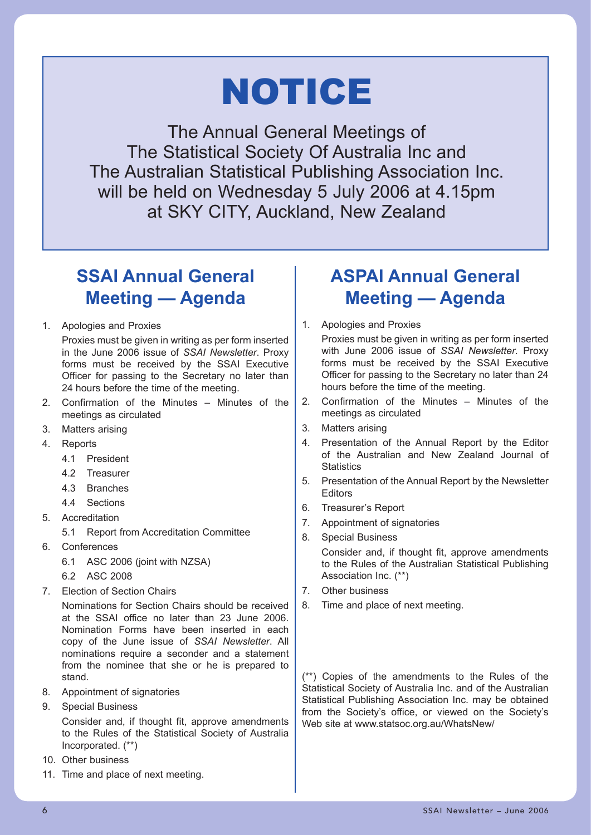# NOTICE

The Annual General Meetings of The Statistical Society Of Australia Inc and The Australian Statistical Publishing Association Inc. will be held on Wednesday 5 July 2006 at 4.15pm at SKY CITY, Auckland, New Zealand

# **SSAI Annual General Meeting — Agenda**

- 1. Apologies and Proxies
	- Proxies must be given in writing as per form inserted in the June 2006 issue of *SSAI Newsletter*. Proxy forms must be received by the SSAI Executive Officer for passing to the Secretary no later than 24 hours before the time of the meeting.
- 2. Confirmation of the Minutes Minutes of the meetings as circulated
- 3. Matters arising
- 4. Reports
	- 4.1 President
	- 4.2 Treasurer
	- 4.3 Branches
	- 4.4 Sections
- 5. Accreditation
	- 5.1 Report from Accreditation Committee
- 6. Conferences
	- 6.1 ASC 2006 (joint with NZSA)
	- 6.2 ASC 2008
- 7. Election of Section Chairs

 Nominations for Section Chairs should be received at the SSAI office no later than 23 June 2006. Nomination Forms have been inserted in each copy of the June issue of *SSAI Newsletter*. All nominations require a seconder and a statement from the nominee that she or he is prepared to stand.

- 8. Appointment of signatories
- 9. Special Business

 Consider and, if thought fit, approve amendments to the Rules of the Statistical Society of Australia Incorporated. (\*\*)

- 10. Other business
- 11. Time and place of next meeting.

# **ASPAI Annual General Meeting — Agenda**

1. Apologies and Proxies

 Proxies must be given in writing as per form inserted with June 2006 issue of *SSAI Newsletter*. Proxy forms must be received by the SSAI Executive Officer for passing to the Secretary no later than 24 hours before the time of the meeting.

- 2. Confirmation of the Minutes Minutes of the meetings as circulated
- 3. Matters arising
- 4. Presentation of the Annual Report by the Editor of the Australian and New Zealand Journal of **Statistics**
- 5. Presentation of the Annual Report by the Newsletter Editors
- 6. Treasurer's Report
- 7. Appointment of signatories
- 8. Special Business Consider and, if thought fit, approve amendments to the Rules of the Australian Statistical Publishing Association Inc. (\*\*)
- 7. Other business
- 8. Time and place of next meeting.

(\*\*) Copies of the amendments to the Rules of the Statistical Society of Australia Inc. and of the Australian Statistical Publishing Association Inc. may be obtained from the Society's office, or viewed on the Society's Web site at www.statsoc.org.au/WhatsNew/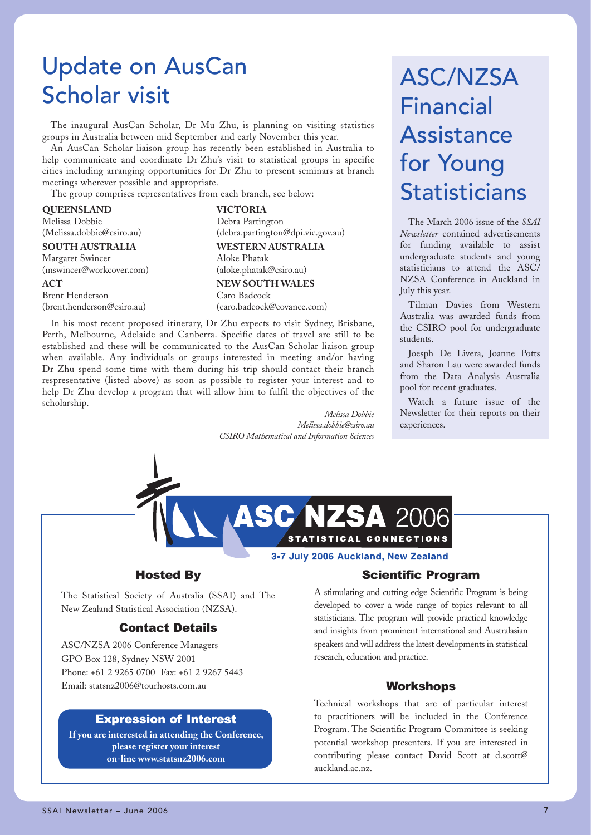# Update on AusCan Scholar visit

The inaugural AusCan Scholar, Dr Mu Zhu, is planning on visiting statistics groups in Australia between mid September and early November this year.

An AusCan Scholar liaison group has recently been established in Australia to help communicate and coordinate Dr Zhu's visit to statistical groups in specific cities including arranging opportunities for Dr Zhu to present seminars at branch meetings wherever possible and appropriate.

The group comprises representatives from each branch, see below:

# **QUEENSLAND** Melissa Dobbie (Melissa.dobbie@csiro.au) **SOUTH AUSTRALIA** Margaret Swincer (mswincer@workcover.com)

### **ACT**

Brent Henderson (brent.henderson@csiro.au)

**VICTORIA**  Debra Partington (debra.partington@dpi.vic.gov.au) **WESTERN AUSTRALIA** Aloke Phatak (aloke.phatak@csiro.au) **NEW SOUTH WALES** Caro Badcock (caro.badcock@covance.com)

In his most recent proposed itinerary, Dr Zhu expects to visit Sydney, Brisbane, Perth, Melbourne, Adelaide and Canberra. Specific dates of travel are still to be established and these will be communicated to the AusCan Scholar liaison group when available. Any individuals or groups interested in meeting and/or having Dr Zhu spend some time with them during his trip should contact their branch respresentative (listed above) as soon as possible to register your interest and to help Dr Zhu develop a program that will allow him to fulfil the objectives of the scholarship.

> *Melissa Dobbie Melissa.dobbie@csiro.au CSIRO Mathematical and Information Sciences*

# ASC/NZSA Financial Assistance for Young **Statisticians**

The March 2006 issue of the *SSAI Newsletter* contained advertisements for funding available to assist undergraduate students and young statisticians to attend the ASC/ NZSA Conference in Auckland in July this year.

Tilman Davies from Western Australia was awarded funds from the CSIRO pool for undergraduate students.

Joesph De Livera, Joanne Potts and Sharon Lau were awarded funds from the Data Analysis Australia pool for recent graduates.

Watch a future issue of the Newsletter for their reports on their experiences.



3-7 July 2006 Auckland, New Zealand

# Hosted By

The Statistical Society of Australia (SSAI) and The New Zealand Statistical Association (NZSA).

# Contact Details

ASC/NZSA 2006 Conference Managers GPO Box 128, Sydney NSW 2001 Phone: +61 2 9265 0700 Fax: +61 2 9267 5443 Email: statsnz2006@tourhosts.com.au

# Expression of Interest

**If you are interested in attending the Conference, please register your interest on-line www.statsnz2006.com**

# Scientific Program

A stimulating and cutting edge Scientific Program is being developed to cover a wide range of topics relevant to all statisticians. The program will provide practical knowledge and insights from prominent international and Australasian speakers and will address the latest developments in statistical research, education and practice.

# Workshops

Technical workshops that are of particular interest to practitioners will be included in the Conference Program. The Scientific Program Committee is seeking potential workshop presenters. If you are interested in contributing please contact David Scott at d.scott@ auckland.ac.nz.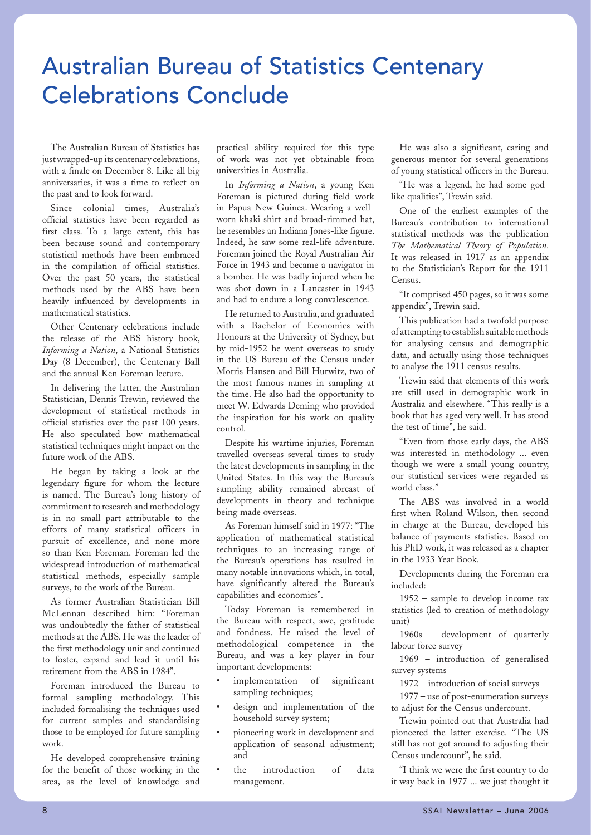# Australian Bureau of Statistics Centenary Celebrations Conclude

The Australian Bureau of Statistics has just wrapped-up its centenary celebrations, with a finale on December 8. Like all big anniversaries, it was a time to reflect on the past and to look forward.

Since colonial times, Australia's official statistics have been regarded as first class. To a large extent, this has been because sound and contemporary statistical methods have been embraced in the compilation of official statistics. Over the past 50 years, the statistical methods used by the ABS have been heavily influenced by developments in mathematical statistics.

Other Centenary celebrations include the release of the ABS history book, *Informing a Nation*, a National Statistics Day (8 December), the Centenary Ball and the annual Ken Foreman lecture.

In delivering the latter, the Australian Statistician, Dennis Trewin, reviewed the development of statistical methods in official statistics over the past 100 years. He also speculated how mathematical statistical techniques might impact on the future work of the ABS.

He began by taking a look at the legendary figure for whom the lecture is named. The Bureau's long history of commitment to research and methodology is in no small part attributable to the efforts of many statistical officers in pursuit of excellence, and none more so than Ken Foreman. Foreman led the widespread introduction of mathematical statistical methods, especially sample surveys, to the work of the Bureau.

As former Australian Statistician Bill McLennan described him: "Foreman was undoubtedly the father of statistical methods at the ABS. He was the leader of the first methodology unit and continued to foster, expand and lead it until his retirement from the ABS in 1984".

Foreman introduced the Bureau to formal sampling methodology. This included formalising the techniques used for current samples and standardising those to be employed for future sampling work.

He developed comprehensive training for the benefit of those working in the area, as the level of knowledge and

practical ability required for this type of work was not yet obtainable from universities in Australia.

In *Informing a Nation*, a young Ken Foreman is pictured during field work in Papua New Guinea. Wearing a wellworn khaki shirt and broad-rimmed hat, he resembles an Indiana Jones-like figure. Indeed, he saw some real-life adventure. Foreman joined the Royal Australian Air Force in 1943 and became a navigator in a bomber. He was badly injured when he was shot down in a Lancaster in 1943 and had to endure a long convalescence.

He returned to Australia, and graduated with a Bachelor of Economics with Honours at the University of Sydney, but by mid-1952 he went overseas to study in the US Bureau of the Census under Morris Hansen and Bill Hurwitz, two of the most famous names in sampling at the time. He also had the opportunity to meet W. Edwards Deming who provided the inspiration for his work on quality control.

Despite his wartime injuries, Foreman travelled overseas several times to study the latest developments in sampling in the United States. In this way the Bureau's sampling ability remained abreast of developments in theory and technique being made overseas.

As Foreman himself said in 1977: "The application of mathematical statistical techniques to an increasing range of the Bureau's operations has resulted in many notable innovations which, in total, have significantly altered the Bureau's capabilities and economics".

Today Foreman is remembered in the Bureau with respect, awe, gratitude and fondness. He raised the level of methodological competence in the Bureau, and was a key player in four important developments:

- implementation of significant sampling techniques;
- design and implementation of the household survey system;
- pioneering work in development and application of seasonal adjustment; and
- the introduction of data management.

He was also a significant, caring and generous mentor for several generations of young statistical officers in the Bureau.

"He was a legend, he had some godlike qualities", Trewin said.

One of the earliest examples of the Bureau's contribution to international statistical methods was the publication *The Mathematical Theory of Population*. It was released in 1917 as an appendix to the Statistician's Report for the 1911 Census.

"It comprised 450 pages, so it was some appendix", Trewin said.

This publication had a twofold purpose of attempting to establish suitable methods for analysing census and demographic data, and actually using those techniques to analyse the 1911 census results.

Trewin said that elements of this work are still used in demographic work in Australia and elsewhere. "This really is a book that has aged very well. It has stood the test of time", he said.

"Even from those early days, the ABS was interested in methodology ... even though we were a small young country, our statistical services were regarded as world class."

The ABS was involved in a world first when Roland Wilson, then second in charge at the Bureau, developed his balance of payments statistics. Based on his PhD work, it was released as a chapter in the 1933 Year Book.

Developments during the Foreman era included:

1952 – sample to develop income tax statistics (led to creation of methodology unit)

1960s – development of quarterly labour force survey

1969 – introduction of generalised survey systems

1972 – introduction of social surveys

1977 – use of post-enumeration surveys to adjust for the Census undercount.

Trewin pointed out that Australia had pioneered the latter exercise. "The US still has not got around to adjusting their Census undercount", he said.

"I think we were the first country to do it way back in 1977 ... we just thought it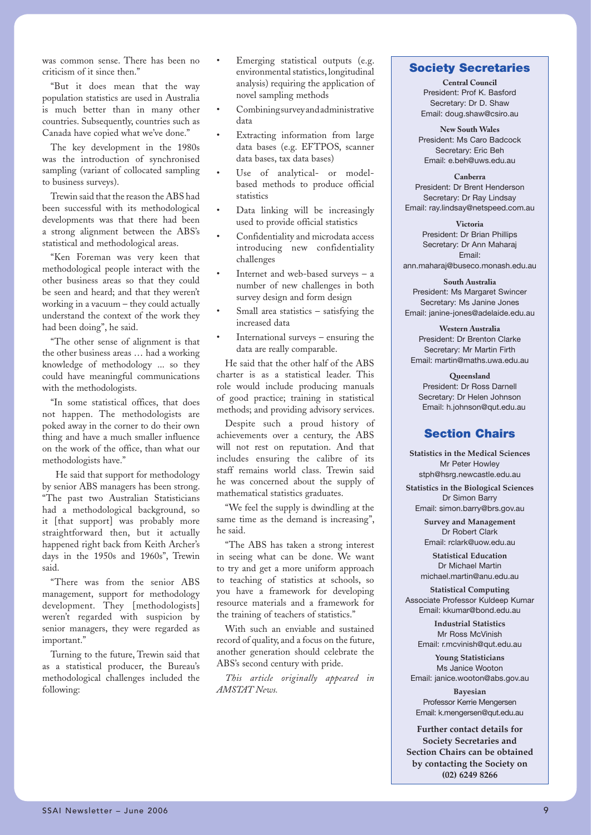was common sense. There has been no criticism of it since then."

"But it does mean that the way population statistics are used in Australia is much better than in many other countries. Subsequently, countries such as Canada have copied what we've done."

The key development in the 1980s was the introduction of synchronised sampling (variant of collocated sampling to business surveys).

Trewin said that the reason the ABS had been successful with its methodological developments was that there had been a strong alignment between the ABS's statistical and methodological areas.

"Ken Foreman was very keen that methodological people interact with the other business areas so that they could be seen and heard; and that they weren't working in a vacuum – they could actually understand the context of the work they had been doing", he said.

"The other sense of alignment is that the other business areas … had a working knowledge of methodology ... so they could have meaningful communications with the methodologists.

"In some statistical offices, that does not happen. The methodologists are poked away in the corner to do their own thing and have a much smaller influence on the work of the office, than what our methodologists have."

 He said that support for methodology by senior ABS managers has been strong. "The past two Australian Statisticians had a methodological background, so it [that support] was probably more straightforward then, but it actually happened right back from Keith Archer's days in the 1950s and 1960s", Trewin said.

"There was from the senior ABS management, support for methodology development. They [methodologists] weren't regarded with suspicion by senior managers, they were regarded as important."

Turning to the future, Trewin said that as a statistical producer, the Bureau's methodological challenges included the following:

- Emerging statistical outputs (e.g. environmental statistics, longitudinal analysis) requiring the application of novel sampling methods
- Combining survey and administrative data
- Extracting information from large data bases (e.g. EFTPOS, scanner data bases, tax data bases)
- Use of analytical- or modelbased methods to produce official statistics
- Data linking will be increasingly used to provide official statistics
- Confidentiality and microdata access introducing new confidentiality challenges
- Internet and web-based surveys a number of new challenges in both survey design and form design
- Small area statistics satisfying the increased data
- International surveys ensuring the data are really comparable.

He said that the other half of the ABS charter is as a statistical leader. This role would include producing manuals of good practice; training in statistical methods; and providing advisory services.

Despite such a proud history of achievements over a century, the ABS will not rest on reputation. And that includes ensuring the calibre of its staff remains world class. Trewin said he was concerned about the supply of mathematical statistics graduates.

"We feel the supply is dwindling at the same time as the demand is increasing", he said.

"The ABS has taken a strong interest in seeing what can be done. We want to try and get a more uniform approach to teaching of statistics at schools, so you have a framework for developing resource materials and a framework for the training of teachers of statistics."

With such an enviable and sustained record of quality, and a focus on the future, another generation should celebrate the ABS's second century with pride.

*This article originally appeared in AMSTAT News.*

# **Society Secretaries**

**Central Council** President: Prof K. Basford Secretary: Dr D. Shaw Email: doug.shaw@csiro.au

**New South Wales** President: Ms Caro Badcock Secretary: Eric Beh Email: e.beh@uws.edu.au

**Canberra** President: Dr Brent Henderson Secretary: Dr Ray Lindsay Email: ray.lindsay@netspeed.com.au

> **Victoria** President: Dr Brian Phillips Secretary: Dr Ann Maharaj Email:

ann.maharaj@buseco.monash.edu.au

**South Australia** President: Ms Margaret Swincer Secretary: Ms Janine Jones Email: janine-jones@adelaide.edu.au

**Western Australia** President: Dr Brenton Clarke Secretary: Mr Martin Firth Email: martin@maths.uwa.edu.au

**Queensland** President: Dr Ross Darnell Secretary: Dr Helen Johnson Email: h.johnson@qut.edu.au

# **Section Chairs**

**Statistics in the Medical Sciences** Mr Peter Howley stph@hsrg.newcastle.edu.au

**Statistics in the Biological Sciences** Dr Simon Barry Email: simon.barry@brs.gov.au

**Survey and Management** Dr Robert Clark Email: rclark@uow.edu.au

**Statistical Education** Dr Michael Martin michael.martin@anu.edu.au

**Statistical Computing** Associate Professor Kuldeep Kumar Email: kkumar@bond.edu.au

> **Industrial Statistics** Mr Ross McVinish Email: r.mcvinish@qut.edu.au

**Young Statisticians** Ms Janice Wooton Email: janice.wooton@abs.gov.au

**Bayesian** Professor Kerrie Mengersen Email: k.mengersen@qut.edu.au

**Further contact details for Society Secretaries and Section Chairs can be obtained by contacting the Society on (02) 6249 8266**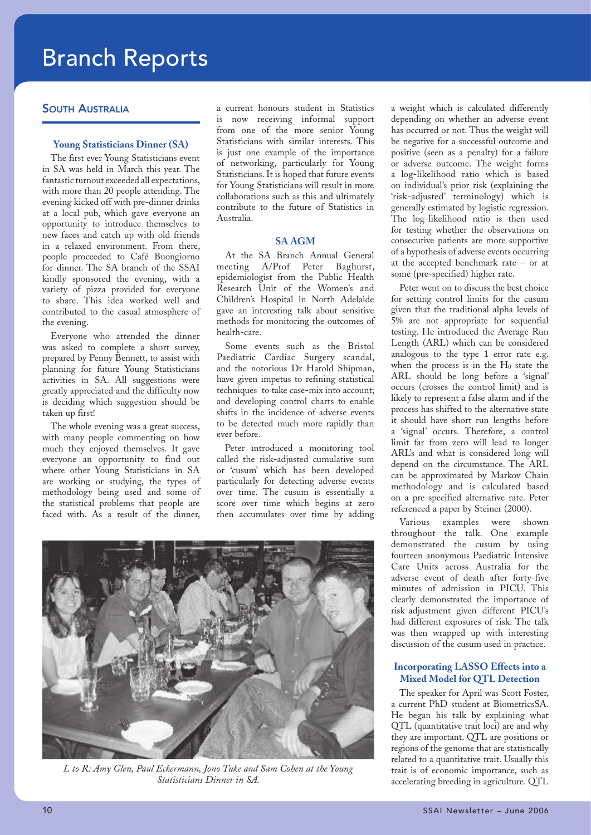# Branch Reports

# SOUTH AUSTRALIA

### **Young Statisticians Dinner (SA)**

The first ever Young Statisticians event in SA was held in March this year. The fantastic turnout exceeded all expectations, with more than 20 people attending. The evening kicked off with pre-dinner drinks at a local pub, which gave everyone an opportunity to introduce themselves to new faces and catch up with old friends in a relaxed environment. From there, people proceeded to Café Buongiorno for dinner. The SA branch of the SSAI kindly sponsored the evening, with a variety of pizza provided for everyone to share. This idea worked well and contributed to the casual atmosphere of the evening.

Everyone who attended the dinner was asked to complete a short survey, prepared by Penny Bennett, to assist with planning for future Young Statisticians activities in SA. All suggestions were greatly appreciated and the difficulty now is deciding which suggestion should be taken up first!

The whole evening was a great success, with many people commenting on how much they enjoyed themselves. It gave everyone an opportunity to find out where other Young Statisticians in SA are working or studying, the types of methodology being used and some of the statistical problems that people are faced with. As a result of the dinner,

a current honours student in Statistics is now receiving informal support from one of the more senior Young Statisticians with similar interests. This is just one example of the importance of networking, particularly for Young Statisticians. It is hoped that future events for Young Statisticians will result in more collaborations such as this and ultimately contribute to the future of Statistics in Australia.

### **SA AGM**

At the SA Branch Annual General meeting A/Prof Peter Baghurst, epidemiologist from the Public Health Research Unit of the Women's and Children's Hospital in North Adelaide gave an interesting talk about sensitive methods for monitoring the outcomes of health-care.

Some events such as the Bristol Paediatric Cardiac Surgery scandal, and the notorious Dr Harold Shipman, have given impetus to refining statistical techniques to take case-mix into account; and developing control charts to enable shifts in the incidence of adverse events to be detected much more rapidly than ever before.

Peter introduced a monitoring tool called the risk-adjusted cumulative sum or 'cusum' which has been developed particularly for detecting adverse events over time. The cusum is essentially a score over time which begins at zero then accumulates over time by adding



*L to R: Amy Glen, Paul Eckermann, Jono Tuke and Sam Cohen at the Young Statisticians Dinner in SA.*

a weight which is calculated differently depending on whether an adverse event has occurred or not. Thus the weight will be negative for a successful outcome and positive (seen as a penalty) for a failure or adverse outcome. The weight forms a log-likelihood ratio which is based on individual's prior risk (explaining the 'risk-adjusted' terminology) which is generally estimated by logistic regression. The log-likelihood ratio is then used for testing whether the observations on consecutive patients are more supportive of a hypothesis of adverse events occurring at the accepted benchmark rate – or at some (pre-specified) higher rate.

Peter went on to discuss the best choice for setting control limits for the cusum given that the traditional alpha levels of 5% are not appropriate for sequential testing. He introduced the Average Run Length (ARL) which can be considered analogous to the type 1 error rate e.g. when the process is in the  $H_0$  state the ARL should be long before a 'signal' occurs (crosses the control limit) and is likely to represent a false alarm and if the process has shifted to the alternative state it should have short run lengths before a 'signal' occurs. Therefore, a control limit far from zero will lead to longer ARL's and what is considered long will depend on the circumstance. The ARL can be approximated by Markov Chain methodology and is calculated based on a pre-specified alternative rate. Peter referenced a paper by Steiner (2000).

Various examples were shown throughout the talk. One example demonstrated the cusum by using fourteen anonymous Paediatric Intensive Care Units across Australia for the adverse event of death after forty-five minutes of admission in PICU. This clearly demonstrated the importance of risk-adjustment given different PICU's had different exposures of risk. The talk was then wrapped up with interesting discussion of the cusum used in practice.

# **Incorporating LASSO Effects into a Mixed Model for QTL Detection**

The speaker for April was Scott Foster, a current PhD student at BiometricsSA. He began his talk by explaining what QTL (quantitative trait loci) are and why they are important. QTL are positions or regions of the genome that are statistically related to a quantitative trait. Usually this trait is of economic importance, such as accelerating breeding in agriculture. QTL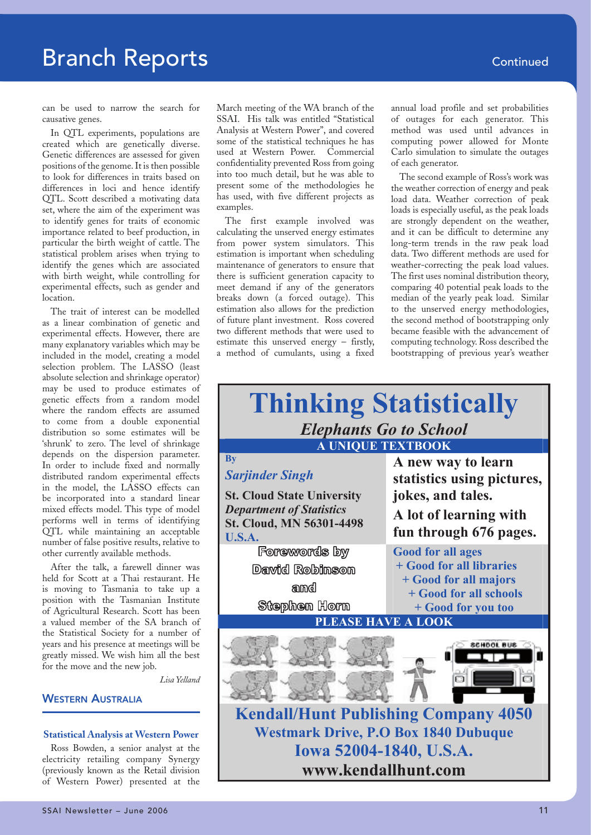can be used to narrow the search for causative genes.

In QTL experiments, populations are created which are genetically diverse. Genetic differences are assessed for given positions of the genome. It is then possible to look for differences in traits based on differences in loci and hence identify QTL. Scott described a motivating data set, where the aim of the experiment was to identify genes for traits of economic importance related to beef production, in particular the birth weight of cattle. The statistical problem arises when trying to identify the genes which are associated with birth weight, while controlling for experimental effects, such as gender and location.

The trait of interest can be modelled as a linear combination of genetic and experimental effects. However, there are many explanatory variables which may be included in the model, creating a model selection problem. The LASSO (least absolute selection and shrinkage operator) may be used to produce estimates of genetic effects from a random model where the random effects are assumed to come from a double exponential distribution so some estimates will be 'shrunk' to zero. The level of shrinkage depends on the dispersion parameter. In order to include fixed and normally distributed random experimental effects in the model, the LASSO effects can be incorporated into a standard linear mixed effects model. This type of model performs well in terms of identifying QTL while maintaining an acceptable number of false positive results, relative to other currently available methods.

After the talk, a farewell dinner was held for Scott at a Thai restaurant. He is moving to Tasmania to take up a position with the Tasmanian Institute of Agricultural Research. Scott has been a valued member of the SA branch of the Statistical Society for a number of years and his presence at meetings will be greatly missed. We wish him all the best for the move and the new job.

*Lisa Yelland*

# **WESTERN AUSTRALIA**

### **Statistical Analysis at Western Power**

Ross Bowden, a senior analyst at the electricity retailing company Synergy (previously known as the Retail division of Western Power) presented at the

SSAI Newsletter – June 2006 11 australia 11 australia 11 australia 11 australia 11 australia 11 australia 11 au<br>11 august - June 2006 11 australia 11 australia 11 australia 11 australia 11 australia 11 australia 11 austral

March meeting of the WA branch of the SSAI. His talk was entitled "Statistical Analysis at Western Power", and covered some of the statistical techniques he has used at Western Power. Commercial confidentiality prevented Ross from going into too much detail, but he was able to present some of the methodologies he has used, with five different projects as examples.

The first example involved was calculating the unserved energy estimates from power system simulators. This estimation is important when scheduling maintenance of generators to ensure that there is sufficient generation capacity to meet demand if any of the generators breaks down (a forced outage). This estimation also allows for the prediction of future plant investment. Ross covered two different methods that were used to estimate this unserved energy – firstly, a method of cumulants, using a fixed annual load profile and set probabilities of outages for each generator. This method was used until advances in computing power allowed for Monte Carlo simulation to simulate the outages of each generator.

The second example of Ross's work was the weather correction of energy and peak load data. Weather correction of peak loads is especially useful, as the peak loads are strongly dependent on the weather, and it can be difficult to determine any long-term trends in the raw peak load data. Two different methods are used for weather-correcting the peak load values. The first uses nominal distribution theory, comparing 40 potential peak loads to the median of the yearly peak load. Similar to the unserved energy methodologies, the second method of bootstrapping only became feasible with the advancement of computing technology. Ross described the bootstrapping of previous year's weather

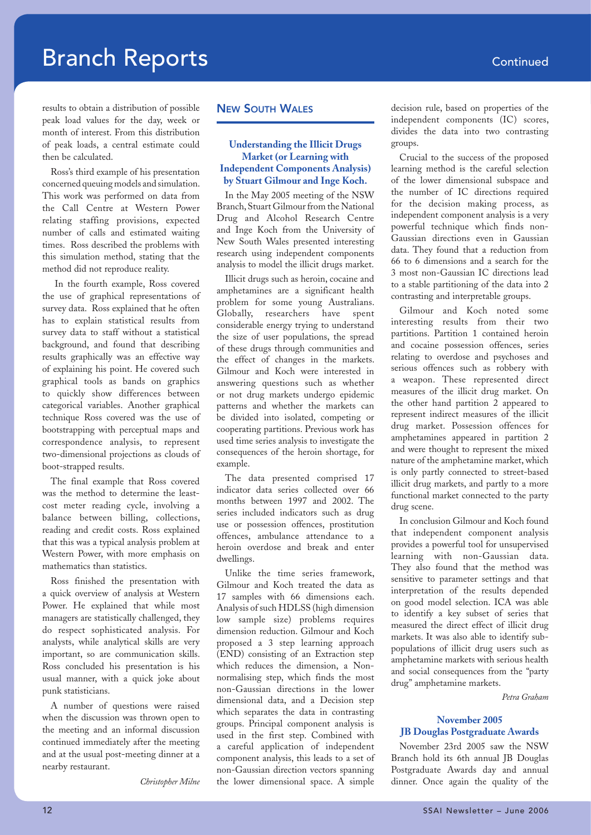results to obtain a distribution of possible peak load values for the day, week or month of interest. From this distribution of peak loads, a central estimate could then be calculated.

Ross's third example of his presentation concerned queuing models and simulation. This work was performed on data from the Call Centre at Western Power relating staffing provisions, expected number of calls and estimated waiting times. Ross described the problems with this simulation method, stating that the method did not reproduce reality.

 In the fourth example, Ross covered the use of graphical representations of survey data. Ross explained that he often has to explain statistical results from survey data to staff without a statistical background, and found that describing results graphically was an effective way of explaining his point. He covered such graphical tools as bands on graphics to quickly show differences between categorical variables. Another graphical technique Ross covered was the use of bootstrapping with perceptual maps and correspondence analysis, to represent two-dimensional projections as clouds of boot-strapped results.

The final example that Ross covered was the method to determine the leastcost meter reading cycle, involving a balance between billing, collections, reading and credit costs. Ross explained that this was a typical analysis problem at Western Power, with more emphasis on mathematics than statistics.

Ross finished the presentation with a quick overview of analysis at Western Power. He explained that while most managers are statistically challenged, they do respect sophisticated analysis. For analysts, while analytical skills are very important, so are communication skills. Ross concluded his presentation is his usual manner, with a quick joke about punk statisticians.

A number of questions were raised when the discussion was thrown open to the meeting and an informal discussion continued immediately after the meeting and at the usual post-meeting dinner at a nearby restaurant.

*Christopher Milne*

# NEW SOUTH WALES

# **Understanding the Illicit Drugs Market (or Learning with Independent Components Analysis) by Stuart Gilmour and Inge Koch.**

In the May 2005 meeting of the NSW Branch, Stuart Gilmour from the National Drug and Alcohol Research Centre and Inge Koch from the University of New South Wales presented interesting research using independent components analysis to model the illicit drugs market.

Illicit drugs such as heroin, cocaine and amphetamines are a significant health problem for some young Australians. Globally, researchers have spent considerable energy trying to understand the size of user populations, the spread of these drugs through communities and the effect of changes in the markets. Gilmour and Koch were interested in answering questions such as whether or not drug markets undergo epidemic patterns and whether the markets can be divided into isolated, competing or cooperating partitions. Previous work has used time series analysis to investigate the consequences of the heroin shortage, for example.

The data presented comprised 17 indicator data series collected over 66 months between 1997 and 2002. The series included indicators such as drug use or possession offences, prostitution offences, ambulance attendance to a heroin overdose and break and enter dwellings.

Unlike the time series framework, Gilmour and Koch treated the data as 17 samples with 66 dimensions each. Analysis of such HDLSS (high dimension low sample size) problems requires dimension reduction. Gilmour and Koch proposed a 3 step learning approach (END) consisting of an Extraction step which reduces the dimension, a Nonnormalising step, which finds the most non-Gaussian directions in the lower dimensional data, and a Decision step which separates the data in contrasting groups. Principal component analysis is used in the first step. Combined with a careful application of independent component analysis, this leads to a set of non-Gaussian direction vectors spanning the lower dimensional space. A simple

decision rule, based on properties of the independent components (IC) scores, divides the data into two contrasting groups.

Crucial to the success of the proposed learning method is the careful selection of the lower dimensional subspace and the number of IC directions required for the decision making process, as independent component analysis is a very powerful technique which finds non-Gaussian directions even in Gaussian data. They found that a reduction from 66 to 6 dimensions and a search for the 3 most non-Gaussian IC directions lead to a stable partitioning of the data into 2 contrasting and interpretable groups.

Gilmour and Koch noted some interesting results from their two partitions. Partition 1 contained heroin and cocaine possession offences, series relating to overdose and psychoses and serious offences such as robbery with a weapon. These represented direct measures of the illicit drug market. On the other hand partition 2 appeared to represent indirect measures of the illicit drug market. Possession offences for amphetamines appeared in partition 2 and were thought to represent the mixed nature of the amphetamine market, which is only partly connected to street-based illicit drug markets, and partly to a more functional market connected to the party drug scene.

In conclusion Gilmour and Koch found that independent component analysis provides a powerful tool for unsupervised learning with non-Gaussian data. They also found that the method was sensitive to parameter settings and that interpretation of the results depended on good model selection. ICA was able to identify a key subset of series that measured the direct effect of illicit drug markets. It was also able to identify subpopulations of illicit drug users such as amphetamine markets with serious health and social consequences from the "party drug" amphetamine markets.

*Petra Graham*

# **November 2005 JB Douglas Postgraduate Awards**

November 23rd 2005 saw the NSW Branch hold its 6th annual JB Douglas Postgraduate Awards day and annual dinner. Once again the quality of the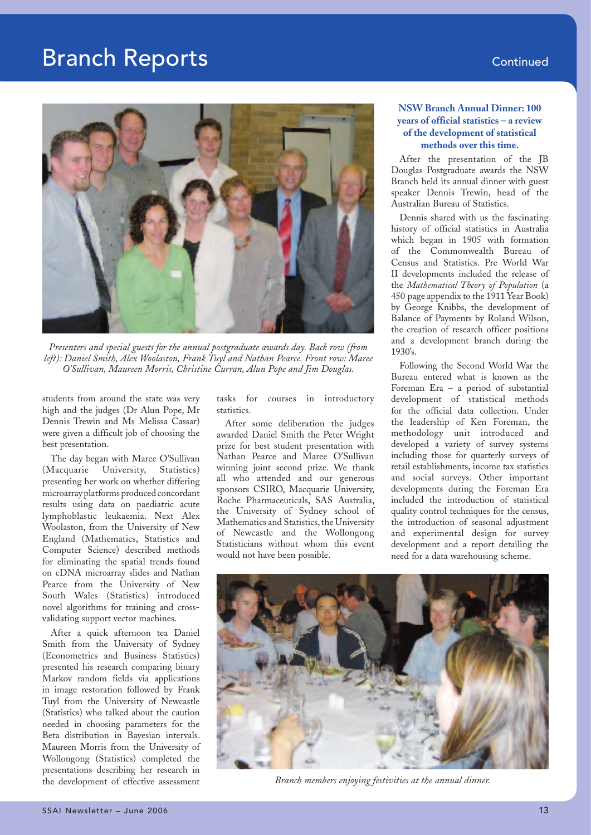

*Presenters and special guests for the annual postgraduate awards day. Back row (from left): Daniel Smith, Alex Woolaston, Frank Tuyl and Nathan Pearce. Front row: Maree O'Sullivan, Maureen Morris, Christine Curran, Alun Pope and Jim Douglas.*

students from around the state was very high and the judges (Dr Alun Pope, Mr Dennis Trewin and Ms Melissa Cassar) were given a difficult job of choosing the best presentation.

The day began with Maree O'Sullivan (Macquarie University, Statistics) presenting her work on whether differing microarray platforms produced concordant results using data on paediatric acute lymphoblastic leukaemia. Next Alex Woolaston, from the University of New England (Mathematics, Statistics and Computer Science) described methods for eliminating the spatial trends found on cDNA microarray slides and Nathan Pearce from the University of New South Wales (Statistics) introduced novel algorithms for training and crossvalidating support vector machines.

After a quick afternoon tea Daniel Smith from the University of Sydney (Econometrics and Business Statistics) presented his research comparing binary Markov random fields via applications in image restoration followed by Frank Tuyl from the University of Newcastle (Statistics) who talked about the caution needed in choosing parameters for the Beta distribution in Bayesian intervals. Maureen Morris from the University of Wollongong (Statistics) completed the presentations describing her research in the development of effective assessment

tasks for courses in introductory statistics.

After some deliberation the judges awarded Daniel Smith the Peter Wright prize for best student presentation with Nathan Pearce and Maree O'Sullivan winning joint second prize. We thank all who attended and our generous sponsors CSIRO, Macquarie University, Roche Pharmaceuticals, SAS Australia, the University of Sydney school of Mathematics and Statistics, the University of Newcastle and the Wollongong Statisticians without whom this event would not have been possible.

# **NSW Branch Annual Dinner: 100 years of official statistics – a review of the development of statistical methods over this time.**

After the presentation of the JB Douglas Postgraduate awards the NSW Branch held its annual dinner with guest speaker Dennis Trewin, head of the Australian Bureau of Statistics.

Dennis shared with us the fascinating history of official statistics in Australia which began in 1905 with formation of the Commonwealth Bureau of Census and Statistics. Pre World War II developments included the release of the *Mathematical Theory of Population* (a 450 page appendix to the 1911 Year Book) by George Knibbs, the development of Balance of Payments by Roland Wilson, the creation of research officer positions and a development branch during the 1930's.

Following the Second World War the Bureau entered what is known as the Foreman Era – a period of substantial development of statistical methods for the official data collection. Under the leadership of Ken Foreman, the methodology unit introduced and developed a variety of survey systems including those for quarterly surveys of retail establishments, income tax statistics and social surveys. Other important developments during the Foreman Era included the introduction of statistical quality control techniques for the census, the introduction of seasonal adjustment and experimental design for survey development and a report detailing the need for a data warehousing scheme.



*Branch members enjoying festivities at the annual dinner.*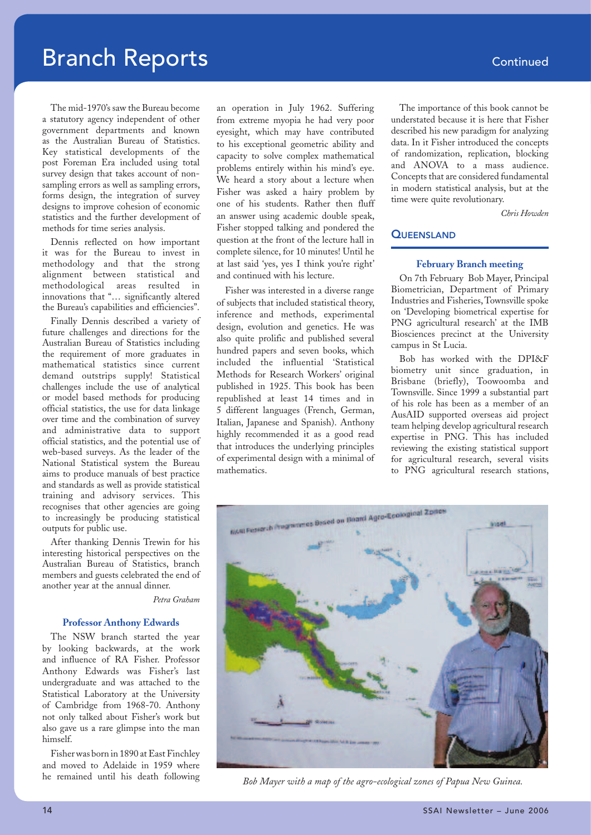The mid-1970's saw the Bureau become a statutory agency independent of other government departments and known as the Australian Bureau of Statistics. Key statistical developments of the post Foreman Era included using total survey design that takes account of nonsampling errors as well as sampling errors, forms design, the integration of survey designs to improve cohesion of economic statistics and the further development of methods for time series analysis.

Dennis reflected on how important it was for the Bureau to invest in methodology and that the strong alignment between statistical and methodological areas resulted in innovations that "… significantly altered the Bureau's capabilities and efficiencies".

Finally Dennis described a variety of future challenges and directions for the Australian Bureau of Statistics including the requirement of more graduates in mathematical statistics since current demand outstrips supply! Statistical challenges include the use of analytical or model based methods for producing official statistics, the use for data linkage over time and the combination of survey and administrative data to support official statistics, and the potential use of web-based surveys. As the leader of the National Statistical system the Bureau aims to produce manuals of best practice and standards as well as provide statistical training and advisory services. This recognises that other agencies are going to increasingly be producing statistical outputs for public use.

After thanking Dennis Trewin for his interesting historical perspectives on the Australian Bureau of Statistics, branch members and guests celebrated the end of another year at the annual dinner.

*Petra Graham*

### **Professor Anthony Edwards**

The NSW branch started the year by looking backwards, at the work and influence of RA Fisher. Professor Anthony Edwards was Fisher's last undergraduate and was attached to the Statistical Laboratory at the University of Cambridge from 1968-70. Anthony not only talked about Fisher's work but also gave us a rare glimpse into the man himself.

Fisher was born in 1890 at East Finchley and moved to Adelaide in 1959 where he remained until his death following an operation in July 1962. Suffering from extreme myopia he had very poor eyesight, which may have contributed to his exceptional geometric ability and capacity to solve complex mathematical problems entirely within his mind's eye. We heard a story about a lecture when Fisher was asked a hairy problem by one of his students. Rather then fluff an answer using academic double speak, Fisher stopped talking and pondered the question at the front of the lecture hall in complete silence, for 10 minutes! Until he at last said 'yes, yes I think you're right' and continued with his lecture.

Fisher was interested in a diverse range of subjects that included statistical theory, inference and methods, experimental design, evolution and genetics. He was also quite prolific and published several hundred papers and seven books, which included the influential 'Statistical Methods for Research Workers' original published in 1925. This book has been republished at least 14 times and in 5 different languages (French, German, Italian, Japanese and Spanish). Anthony highly recommended it as a good read that introduces the underlying principles of experimental design with a minimal of mathematics.

The importance of this book cannot be understated because it is here that Fisher described his new paradigm for analyzing data. In it Fisher introduced the concepts of randomization, replication, blocking and ANOVA to a mass audience. Concepts that are considered fundamental in modern statistical analysis, but at the time were quite revolutionary.

*Chris Howden*

# **QUEENSLAND**

### **February Branch meeting**

On 7th February Bob Mayer, Principal Biometrician, Department of Primary Industries and Fisheries, Townsville spoke on 'Developing biometrical expertise for PNG agricultural research' at the IMB Biosciences precinct at the University campus in St Lucia.

Bob has worked with the DPI&F biometry unit since graduation, in Brisbane (briefly), Toowoomba and Townsville. Since 1999 a substantial part of his role has been as a member of an AusAID supported overseas aid project team helping develop agricultural research expertise in PNG. This has included reviewing the existing statistical support for agricultural research, several visits to PNG agricultural research stations,



*Bob Mayer with a map of the agro-ecological zones of Papua New Guinea.*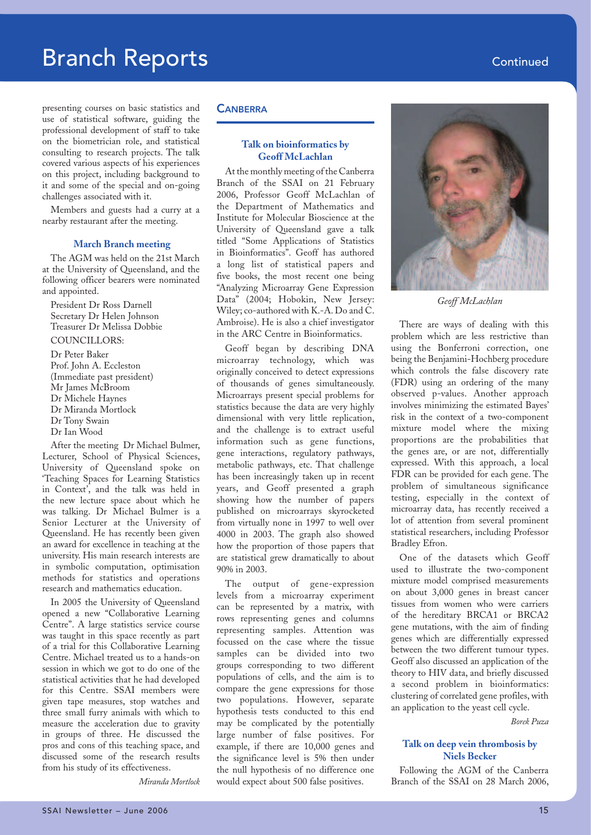presenting courses on basic statistics and use of statistical software, guiding the professional development of staff to take on the biometrician role, and statistical consulting to research projects. The talk covered various aspects of his experiences on this project, including background to it and some of the special and on-going challenges associated with it.

Members and guests had a curry at a nearby restaurant after the meeting.

### **March Branch meeting**

The AGM was held on the 21st March at the University of Queensland, and the following officer bearers were nominated and appointed.

President Dr Ross Darnell Secretary Dr Helen Johnson Treasurer Dr Melissa Dobbie COUNCILLORS: Dr Peter Baker Prof. John A. Eccleston (Immediate past president) Mr James McBroom Dr Michele Haynes

- Dr Miranda Mortlock
- Dr Tony Swain
- Dr Ian Wood

After the meeting Dr Michael Bulmer, Lecturer, School of Physical Sciences, University of Queensland spoke on 'Teaching Spaces for Learning Statistics in Context', and the talk was held in the new lecture space about which he was talking. Dr Michael Bulmer is a Senior Lecturer at the University of Queensland. He has recently been given an award for excellence in teaching at the university. His main research interests are in symbolic computation, optimisation methods for statistics and operations research and mathematics education.

In 2005 the University of Queensland opened a new "Collaborative Learning Centre". A large statistics service course was taught in this space recently as part of a trial for this Collaborative Learning Centre. Michael treated us to a hands-on session in which we got to do one of the statistical activities that he had developed for this Centre. SSAI members were given tape measures, stop watches and three small furry animals with which to measure the acceleration due to gravity in groups of three. He discussed the pros and cons of this teaching space, and discussed some of the research results from his study of its effectiveness.

*Miranda Mortlock*

### **CANBERRA**

### **Talk on bioinformatics by Geoff McLachlan**

At the monthly meeting of the Canberra Branch of the SSAI on 21 February 2006, Professor Geoff McLachlan of the Department of Mathematics and Institute for Molecular Bioscience at the University of Queensland gave a talk titled "Some Applications of Statistics in Bioinformatics". Geoff has authored a long list of statistical papers and five books, the most recent one being "Analyzing Microarray Gene Expression Data" (2004; Hobokin, New Jersey: Wiley; co-authored with K.-A. Do and C. Ambroise). He is also a chief investigator in the ARC Centre in Bioinformatics.

Geoff began by describing DNA microarray technology, which was originally conceived to detect expressions of thousands of genes simultaneously. Microarrays present special problems for statistics because the data are very highly dimensional with very little replication, and the challenge is to extract useful information such as gene functions, gene interactions, regulatory pathways, metabolic pathways, etc. That challenge has been increasingly taken up in recent years, and Geoff presented a graph showing how the number of papers published on microarrays skyrocketed from virtually none in 1997 to well over 4000 in 2003. The graph also showed how the proportion of those papers that are statistical grew dramatically to about 90% in 2003.

The output of gene-expression levels from a microarray experiment can be represented by a matrix, with rows representing genes and columns representing samples. Attention was focussed on the case where the tissue samples can be divided into two groups corresponding to two different populations of cells, and the aim is to compare the gene expressions for those two populations. However, separate hypothesis tests conducted to this end may be complicated by the potentially large number of false positives. For example, if there are 10,000 genes and the significance level is 5% then under the null hypothesis of no difference one would expect about 500 false positives.



*Geoff McLachlan*

There are ways of dealing with this problem which are less restrictive than using the Bonferroni correction, one being the Benjamini-Hochberg procedure which controls the false discovery rate (FDR) using an ordering of the many observed p-values. Another approach involves minimizing the estimated Bayes' risk in the context of a two-component mixture model where the mixing proportions are the probabilities that the genes are, or are not, differentially expressed. With this approach, a local FDR can be provided for each gene. The problem of simultaneous significance testing, especially in the context of microarray data, has recently received a lot of attention from several prominent statistical researchers, including Professor Bradley Efron.

One of the datasets which Geoff used to illustrate the two-component mixture model comprised measurements on about 3,000 genes in breast cancer tissues from women who were carriers of the hereditary BRCA1 or BRCA2 gene mutations, with the aim of finding genes which are differentially expressed between the two different tumour types. Geoff also discussed an application of the theory to HIV data, and briefly discussed a second problem in bioinformatics: clustering of correlated gene profiles, with an application to the yeast cell cycle.

*Borek Puza* 

# **Talk on deep vein thrombosis by Niels Becker**

Following the AGM of the Canberra Branch of the SSAI on 28 March 2006,